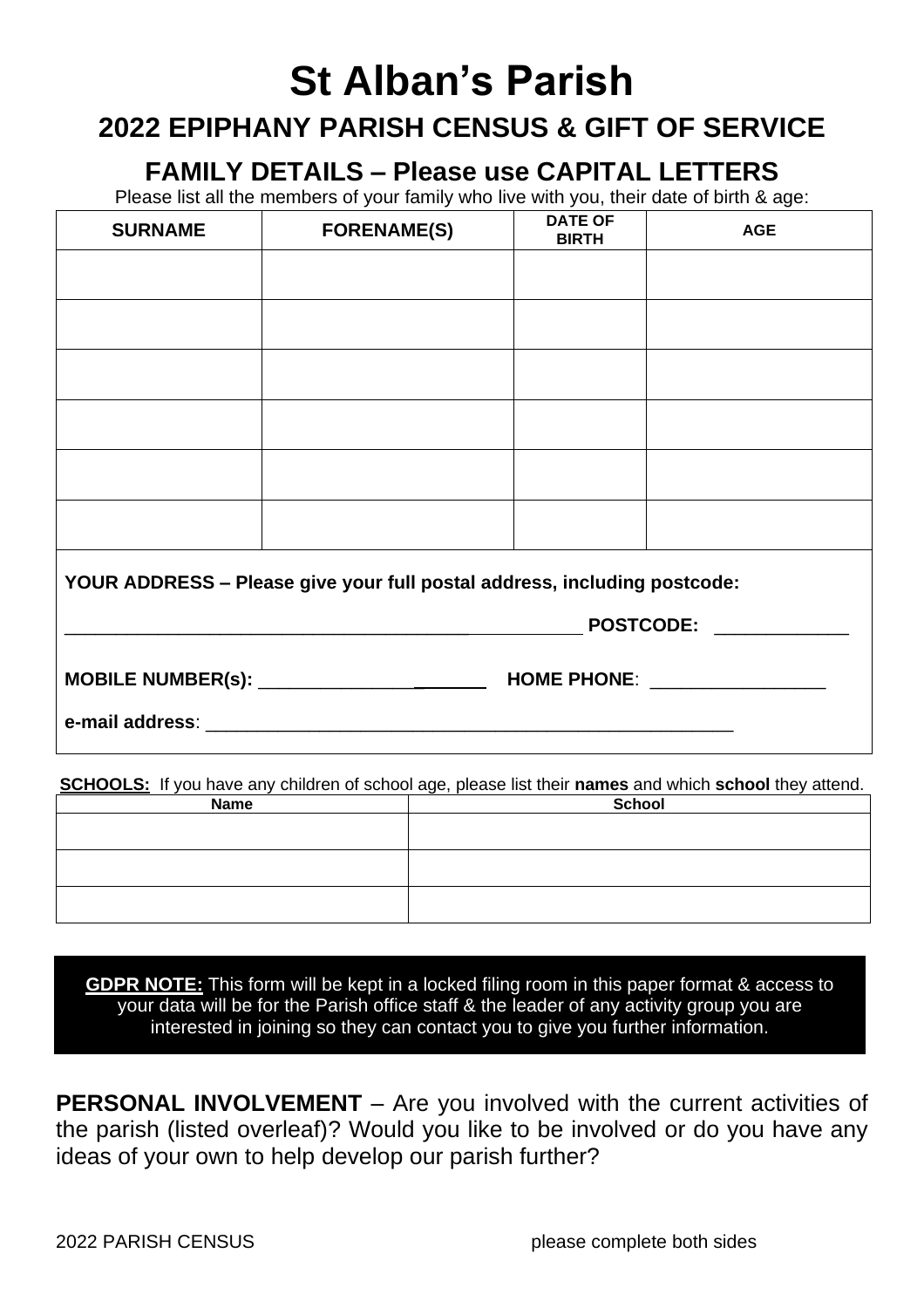## **St Alban's Parish**

## **2022 EPIPHANY PARISH CENSUS & GIFT OF SERVICE**

**FAMILY DETAILS – Please use CAPITAL LETTERS**

Please list all the members of your family who live with you, their date of birth & age:

| <b>SURNAME</b>                                                           | <b>FORENAME(S)</b>           | <b>DATE OF</b><br><b>BIRTH</b> | <b>AGE</b> |  |  |  |
|--------------------------------------------------------------------------|------------------------------|--------------------------------|------------|--|--|--|
|                                                                          |                              |                                |            |  |  |  |
|                                                                          |                              |                                |            |  |  |  |
|                                                                          |                              |                                |            |  |  |  |
|                                                                          |                              |                                |            |  |  |  |
|                                                                          |                              |                                |            |  |  |  |
|                                                                          |                              |                                |            |  |  |  |
| YOUR ADDRESS - Please give your full postal address, including postcode: |                              |                                |            |  |  |  |
|                                                                          | POSTCODE: NAMEL AND POSTCODE |                                |            |  |  |  |
|                                                                          |                              |                                |            |  |  |  |
|                                                                          |                              |                                |            |  |  |  |

**SCHOOLS:** If you have any children of school age, please list their **names** and which **school** they attend.

| <b>Name</b> | School |  |  |
|-------------|--------|--|--|
|             |        |  |  |
|             |        |  |  |
|             |        |  |  |
|             |        |  |  |
|             |        |  |  |
|             |        |  |  |

**GDPR NOTE:** This form will be kept in a locked filing room in this paper format & access to your data will be for the Parish office staff & the leader of any activity group you are interested in joining so they can contact you to give you further information.

**PERSONAL INVOLVEMENT** – Are you involved with the current activities of the parish (listed overleaf)? Would you like to be involved or do you have any ideas of your own to help develop our parish further?